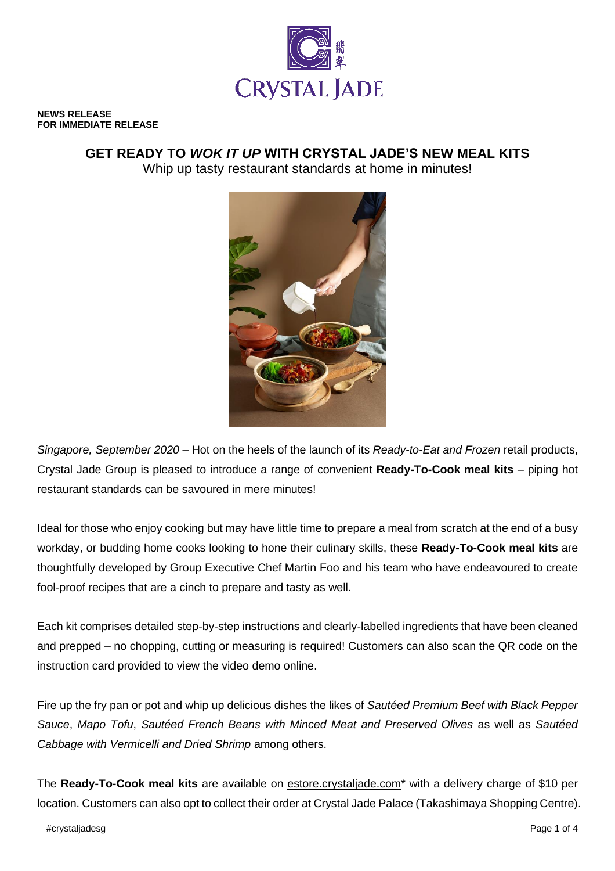

**NEWS RELEASE FOR IMMEDIATE RELEASE**

# **GET READY TO** *WOK IT UP* **WITH CRYSTAL JADE'S NEW MEAL KITS** Whip up tasty restaurant standards at home in minutes!



*Singapore, September 2020* – Hot on the heels of the launch of its *Ready-to-Eat and Frozen* retail products, Crystal Jade Group is pleased to introduce a range of convenient **Ready-To-Cook meal kits** – piping hot restaurant standards can be savoured in mere minutes!

Ideal for those who enjoy cooking but may have little time to prepare a meal from scratch at the end of a busy workday, or budding home cooks looking to hone their culinary skills, these **Ready-To-Cook meal kits** are thoughtfully developed by Group Executive Chef Martin Foo and his team who have endeavoured to create fool-proof recipes that are a cinch to prepare and tasty as well.

Each kit comprises detailed step-by-step instructions and clearly-labelled ingredients that have been cleaned and prepped – no chopping, cutting or measuring is required! Customers can also scan the QR code on the instruction card provided to view the video demo online.

Fire up the fry pan or pot and whip up delicious dishes the likes of *Sautéed Premium Beef with Black Pepper Sauce*, *Mapo Tofu*, *Sautéed French Beans with Minced Meat and Preserved Olives* as well as *Sautéed Cabbage with Vermicelli and Dried Shrimp* among others.

The **Ready-To-Cook meal kits** are available on [estore.crystaljade.com\\*](http://www.estore.crystaljade.com/) with a delivery charge of \$10 per location. Customers can also opt to collect their order at Crystal Jade Palace (Takashimaya Shopping Centre).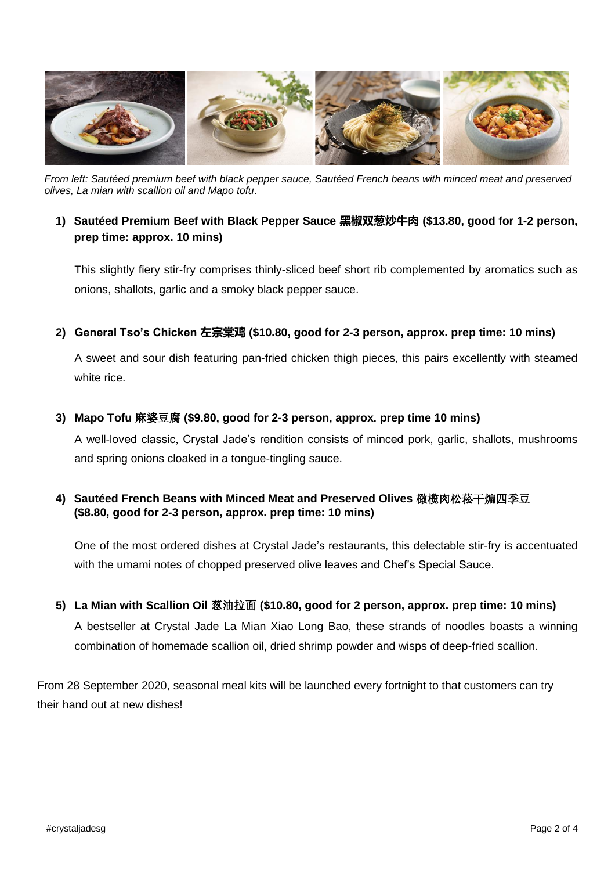

*From left: Sautéed premium beef with black pepper sauce, Sautéed French beans with minced meat and preserved olives, La mian with scallion oil and Mapo tofu*.

# **1) Sautéed Premium Beef with Black Pepper Sauce 黑椒双葱炒牛肉 (\$13.80, good for 1-2 person, prep time: approx. 10 mins)**

This slightly fiery stir-fry comprises thinly-sliced beef short rib complemented by aromatics such as onions, shallots, garlic and a smoky black pepper sauce.

**2) General Tso's Chicken 左宗棠鸡 (\$10.80, good for 2-3 person, approx. prep time: 10 mins)**

A sweet and sour dish featuring pan-fried chicken thigh pieces, this pairs excellently with steamed white rice.

## **3) Mapo Tofu** 麻婆豆腐 **(\$9.80, good for 2-3 person, approx. prep time 10 mins)**

A well-loved classic, Crystal Jade's rendition consists of minced pork, garlic, shallots, mushrooms and spring onions cloaked in a tongue-tingling sauce.

# **4) Sautéed French Beans with Minced Meat and Preserved Olives** 橄榄肉松菘干煸四季豆 **(\$8.80, good for 2-3 person, approx. prep time: 10 mins)**

One of the most ordered dishes at Crystal Jade's restaurants, this delectable stir-fry is accentuated with the umami notes of chopped preserved olive leaves and Chef's Special Sauce.

## **5) La Mian with Scallion Oil** 葱油拉面 **(\$10.80, good for 2 person, approx. prep time: 10 mins)**

A bestseller at Crystal Jade La Mian Xiao Long Bao, these strands of noodles boasts a winning combination of homemade scallion oil, dried shrimp powder and wisps of deep-fried scallion.

From 28 September 2020, seasonal meal kits will be launched every fortnight to that customers can try their hand out at new dishes!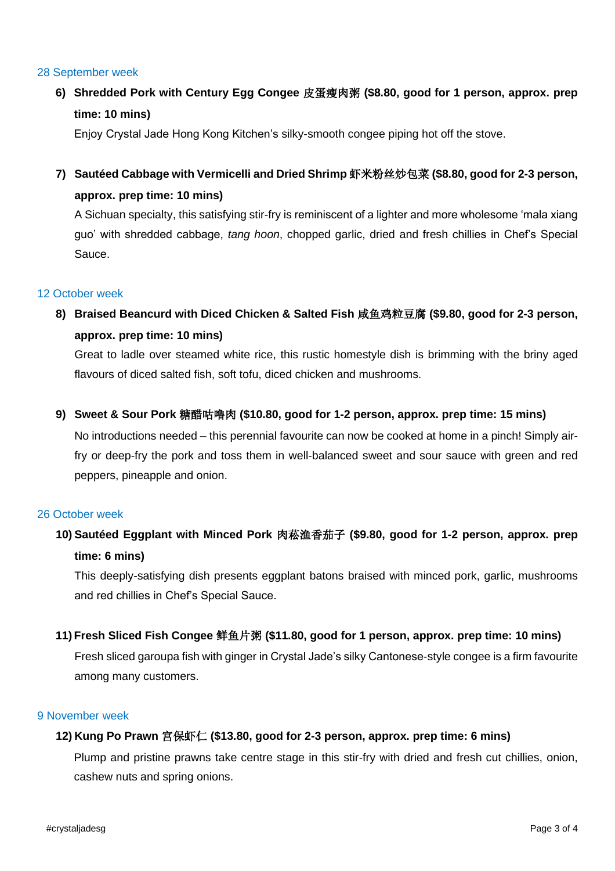#### 28 September week

**6) Shredded Pork with Century Egg Congee** 皮蛋瘦肉粥 **(\$8.80, good for 1 person, approx. prep time: 10 mins)**

Enjoy Crystal Jade Hong Kong Kitchen's silky-smooth congee piping hot off the stove.

**7) Sautéed Cabbage with Vermicelli and Dried Shrimp** 虾米粉丝炒包菜 **(\$8.80, good for 2-3 person, approx. prep time: 10 mins)**

A Sichuan specialty, this satisfying stir-fry is reminiscent of a lighter and more wholesome 'mala xiang guo' with shredded cabbage, *tang hoon*, chopped garlic, dried and fresh chillies in Chef's Special Sauce.

## 12 October week

**8) Braised Beancurd with Diced Chicken & Salted Fish** 咸鱼鸡粒豆腐 **(\$9.80, good for 2-3 person, approx. prep time: 10 mins)**

Great to ladle over steamed white rice, this rustic homestyle dish is brimming with the briny aged flavours of diced salted fish, soft tofu, diced chicken and mushrooms.

**9) Sweet & Sour Pork** 糖醋咕噜肉 **(\$10.80, good for 1-2 person, approx. prep time: 15 mins)**

No introductions needed – this perennial favourite can now be cooked at home in a pinch! Simply airfry or deep-fry the pork and toss them in well-balanced sweet and sour sauce with green and red peppers, pineapple and onion.

## 26 October week

**10) Sautéed Eggplant with Minced Pork** 肉菘渔香茄子 **(\$9.80, good for 1-2 person, approx. prep time: 6 mins)**

This deeply-satisfying dish presents eggplant batons braised with minced pork, garlic, mushrooms and red chillies in Chef's Special Sauce.

**11) Fresh Sliced Fish Congee** 鲜鱼片粥 **(\$11.80, good for 1 person, approx. prep time: 10 mins)**

Fresh sliced garoupa fish with ginger in Crystal Jade's silky Cantonese-style congee is a firm favourite among many customers.

#### 9 November week

## **12) Kung Po Prawn** 宫保虾仁 **(\$13.80, good for 2-3 person, approx. prep time: 6 mins)**

Plump and pristine prawns take centre stage in this stir-fry with dried and fresh cut chillies, onion, cashew nuts and spring onions.